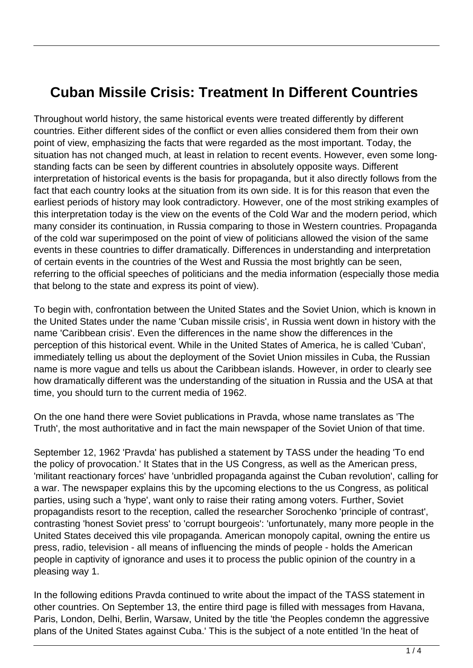## **Cuban Missile Crisis: Treatment In Different Countries**

Throughout world history, the same historical events were treated differently by different countries. Either different sides of the conflict or even allies considered them from their own point of view, emphasizing the facts that were regarded as the most important. Today, the situation has not changed much, at least in relation to recent events. However, even some longstanding facts can be seen by different countries in absolutely opposite ways. Different interpretation of historical events is the basis for propaganda, but it also directly follows from the fact that each country looks at the situation from its own side. It is for this reason that even the earliest periods of history may look contradictory. However, one of the most striking examples of this interpretation today is the view on the events of the Cold War and the modern period, which many consider its continuation, in Russia comparing to those in Western countries. Propaganda of the cold war superimposed on the point of view of politicians allowed the vision of the same events in these countries to differ dramatically. Differences in understanding and interpretation of certain events in the countries of the West and Russia the most brightly can be seen, referring to the official speeches of politicians and the media information (especially those media that belong to the state and express its point of view).

To begin with, confrontation between the United States and the Soviet Union, which is known in the United States under the name 'Cuban missile crisis', in Russia went down in history with the name 'Caribbean crisis'. Even the differences in the name show the differences in the perception of this historical event. While in the United States of America, he is called 'Cuban', immediately telling us about the deployment of the Soviet Union missiles in Cuba, the Russian name is more vague and tells us about the Caribbean islands. However, in order to clearly see how dramatically different was the understanding of the situation in Russia and the USA at that time, you should turn to the current media of 1962.

On the one hand there were Soviet publications in Pravda, whose name translates as 'The Truth', the most authoritative and in fact the main newspaper of the Soviet Union of that time.

September 12, 1962 'Pravda' has published a statement by TASS under the heading 'To end the policy of provocation.' It States that in the US Congress, as well as the American press, 'militant reactionary forces' have 'unbridled propaganda against the Cuban revolution', calling for a war. The newspaper explains this by the upcoming elections to the us Congress, as political parties, using such a 'hype', want only to raise their rating among voters. Further, Soviet propagandists resort to the reception, called the researcher Sorochenko 'principle of contrast', contrasting 'honest Soviet press' to 'corrupt bourgeois': 'unfortunately, many more people in the United States deceived this vile propaganda. American monopoly capital, owning the entire us press, radio, television - all means of influencing the minds of people - holds the American people in captivity of ignorance and uses it to process the public opinion of the country in a pleasing way 1.

In the following editions Pravda continued to write about the impact of the TASS statement in other countries. On September 13, the entire third page is filled with messages from Havana, Paris, London, Delhi, Berlin, Warsaw, United by the title 'the Peoples condemn the aggressive plans of the United States against Cuba.' This is the subject of a note entitled 'In the heat of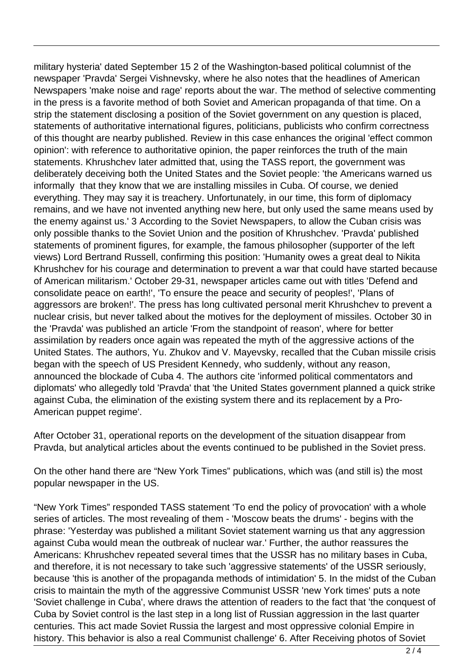military hysteria' dated September 15 2 of the Washington-based political columnist of the newspaper 'Pravda' Sergei Vishnevsky, where he also notes that the headlines of American Newspapers 'make noise and rage' reports about the war. The method of selective commenting in the press is a favorite method of both Soviet and American propaganda of that time. On a strip the statement disclosing a position of the Soviet government on any question is placed, statements of authoritative international figures, politicians, publicists who confirm correctness of this thought are nearby published. Review in this case enhances the original 'effect common opinion': with reference to authoritative opinion, the paper reinforces the truth of the main statements. Khrushchev later admitted that, using the TASS report, the government was deliberately deceiving both the United States and the Soviet people: 'the Americans warned us informally that they know that we are installing missiles in Cuba. Of course, we denied everything. They may say it is treachery. Unfortunately, in our time, this form of diplomacy remains, and we have not invented anything new here, but only used the same means used by the enemy against us.' 3 According to the Soviet Newspapers, to allow the Cuban crisis was only possible thanks to the Soviet Union and the position of Khrushchev. 'Pravda' published statements of prominent figures, for example, the famous philosopher (supporter of the left views) Lord Bertrand Russell, confirming this position: 'Humanity owes a great deal to Nikita Khrushchev for his courage and determination to prevent a war that could have started because of American militarism.' October 29-31, newspaper articles came out with titles 'Defend and consolidate peace on earth!', 'To ensure the peace and security of peoples!', 'Plans of aggressors are broken!'. The press has long cultivated personal merit Khrushchev to prevent a nuclear crisis, but never talked about the motives for the deployment of missiles. October 30 in the 'Pravda' was published an article 'From the standpoint of reason', where for better assimilation by readers once again was repeated the myth of the aggressive actions of the United States. The authors, Yu. Zhukov and V. Mayevsky, recalled that the Cuban missile crisis began with the speech of US President Kennedy, who suddenly, without any reason, announced the blockade of Cuba 4. The authors cite 'informed political commentators and diplomats' who allegedly told 'Pravda' that 'the United States government planned a quick strike against Cuba, the elimination of the existing system there and its replacement by a Pro-American puppet regime'.

After October 31, operational reports on the development of the situation disappear from Pravda, but analytical articles about the events continued to be published in the Soviet press.

On the other hand there are "New York Times" publications, which was (and still is) the most popular newspaper in the US.

"New York Times" responded TASS statement 'To end the policy of provocation' with a whole series of articles. The most revealing of them - 'Moscow beats the drums' - begins with the phrase: 'Yesterday was published a militant Soviet statement warning us that any aggression against Cuba would mean the outbreak of nuclear war.' Further, the author reassures the Americans: Khrushchev repeated several times that the USSR has no military bases in Cuba, and therefore, it is not necessary to take such 'aggressive statements' of the USSR seriously, because 'this is another of the propaganda methods of intimidation' 5. In the midst of the Cuban crisis to maintain the myth of the aggressive Communist USSR 'new York times' puts a note 'Soviet challenge in Cuba', where draws the attention of readers to the fact that 'the conquest of Cuba by Soviet control is the last step in a long list of Russian aggression in the last quarter centuries. This act made Soviet Russia the largest and most oppressive colonial Empire in history. This behavior is also a real Communist challenge' 6. After Receiving photos of Soviet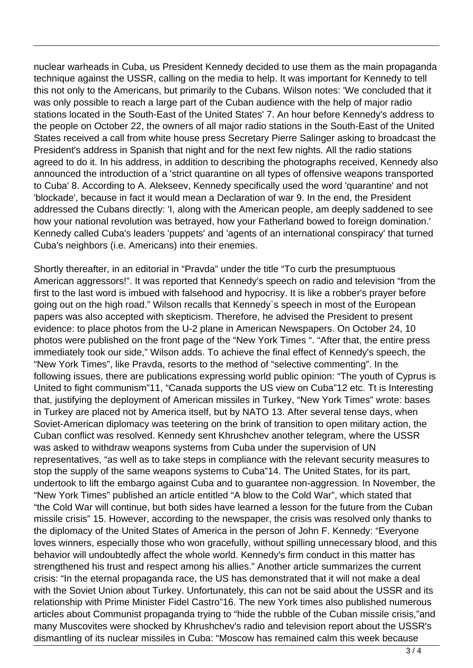nuclear warheads in Cuba, us President Kennedy decided to use them as the main propaganda technique against the USSR, calling on the media to help. It was important for Kennedy to tell this not only to the Americans, but primarily to the Cubans. Wilson notes: 'We concluded that it was only possible to reach a large part of the Cuban audience with the help of major radio stations located in the South-East of the United States' 7. An hour before Kennedy's address to the people on October 22, the owners of all major radio stations in the South-East of the United States received a call from white house press Secretary Pierre Salinger asking to broadcast the President's address in Spanish that night and for the next few nights. All the radio stations agreed to do it. In his address, in addition to describing the photographs received, Kennedy also announced the introduction of a 'strict quarantine on all types of offensive weapons transported to Cuba' 8. According to A. Alekseev, Kennedy specifically used the word 'quarantine' and not 'blockade', because in fact it would mean a Declaration of war 9. In the end, the President addressed the Cubans directly: 'I, along with the American people, am deeply saddened to see how your national revolution was betrayed, how your Fatherland bowed to foreign domination.' Kennedy called Cuba's leaders 'puppets' and 'agents of an international conspiracy' that turned Cuba's neighbors (i.e. Americans) into their enemies.

Shortly thereafter, in an editorial in "Pravda" under the title "To curb the presumptuous American aggressors!". It was reported that Kennedy's speech on radio and television "from the first to the last word is imbued with falsehood and hypocrisy. It is like a robber's prayer before going out on the high road." Wilson recalls that Kennedy`s speech in most of the European papers was also accepted with skepticism. Therefore, he advised the President to present evidence: to place photos from the U-2 plane in American Newspapers. On October 24, 10 photos were published on the front page of the "New York Times ". "After that, the entire press immediately took our side," Wilson adds. To achieve the final effect of Kennedy's speech, the "New York Times", like Pravda, resorts to the method of "selective commenting". In the following issues, there are publications expressing world public opinion: "The youth of Cyprus is United to fight communism"11, "Canada supports the US view on Cuba"12 etc. Tt is Interesting that, justifying the deployment of American missiles in Turkey, "New York Times" wrote: bases in Turkey are placed not by America itself, but by NATO 13. After several tense days, when Soviet-American diplomacy was teetering on the brink of transition to open military action, the Cuban conflict was resolved. Kennedy sent Khrushchev another telegram, where the USSR was asked to withdraw weapons systems from Cuba under the supervision of UN representatives, "as well as to take steps in compliance with the relevant security measures to stop the supply of the same weapons systems to Cuba"14. The United States, for its part, undertook to lift the embargo against Cuba and to guarantee non-aggression. In November, the "New York Times" published an article entitled "A blow to the Cold War", which stated that "the Cold War will continue, but both sides have learned a lesson for the future from the Cuban missile crisis" 15. However, according to the newspaper, the crisis was resolved only thanks to the diplomacy of the United States of America in the person of John F. Kennedy: "Everyone loves winners, especially those who won gracefully, without spilling unnecessary blood, and this behavior will undoubtedly affect the whole world. Kennedy's firm conduct in this matter has strengthened his trust and respect among his allies." Another article summarizes the current crisis: "In the eternal propaganda race, the US has demonstrated that it will not make a deal with the Soviet Union about Turkey. Unfortunately, this can not be said about the USSR and its relationship with Prime Minister Fidel Castro"16. The new York times also published numerous articles about Communist propaganda trying to "hide the rubble of the Cuban missile crisis,"and many Muscovites were shocked by Khrushchev's radio and television report about the USSR's dismantling of its nuclear missiles in Cuba: "Moscow has remained calm this week because